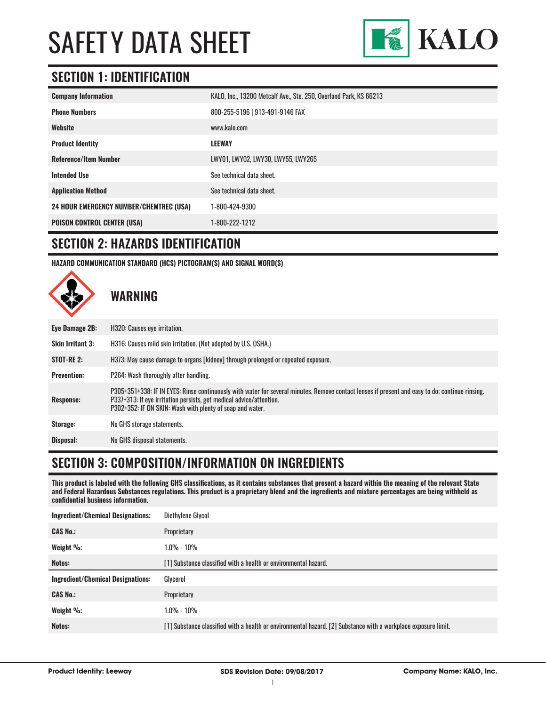

### **SECTION 1: IDENTIFICATION**

| <b>Company Information</b>                     | KALO, Inc., 13200 Metcalf Ave., Ste. 250, Overland Park, KS 66213 |
|------------------------------------------------|-------------------------------------------------------------------|
| <b>Phone Numbers</b>                           | 800-255-5196   913-491-9146 FAX                                   |
| Website                                        | www.kalo.com                                                      |
| <b>Product Identity</b>                        | <b>LEEWAY</b>                                                     |
| <b>Reference/Item Number</b>                   | LWY01, LWY02, LWY30, LWY55, LWY265                                |
| <b>Intended Use</b>                            | See technical data sheet.                                         |
| <b>Application Method</b>                      | See technical data sheet.                                         |
| <b>24 HOUR EMERGENCY NUMBER/CHEMTREC (USA)</b> | 1-800-424-9300                                                    |
| <b>POISON CONTROL CENTER (USA)</b>             | 1-800-222-1212                                                    |

#### **SECTION 2: HAZARDS IDENTIFICATION**

**HAZARD COMMUNICATION STANDARD (HCS) PICTOGRAM(S) AND SIGNAL WORD(S)**



### **WARNING**

| Eye Damage 2B:          | H320: Causes eye irritation.                                                                                                                                                                                                                                                        |
|-------------------------|-------------------------------------------------------------------------------------------------------------------------------------------------------------------------------------------------------------------------------------------------------------------------------------|
| <b>Skin Irritant 3:</b> | H316: Causes mild skin irritation. (Not adopted by U.S. OSHA.)                                                                                                                                                                                                                      |
| <b>STOT-RE 2:</b>       | H373: May cause damage to organs [kidney] through prolonged or repeated exposure.                                                                                                                                                                                                   |
| <b>Prevention:</b>      | P264: Wash thoroughly after handling.                                                                                                                                                                                                                                               |
| <b>Response:</b>        | P305+351+338: IF IN EYES: Rinse continuously with water for several minutes. Remove contact lenses if present and easy to do; continue rinsing.<br>P337+313: If eye irritation persists, get medical advice/attention.<br>P302+352: IF ON SKIN: Wash with plenty of soap and water. |
| Storage:                | No GHS storage statements.                                                                                                                                                                                                                                                          |
| Disposal:               | No GHS disposal statements.                                                                                                                                                                                                                                                         |

### **SECTION 3: COMPOSITION/INFORMATION ON INGREDIENTS**

**This product is labeled with the following GHS classifications, as it contains substances that present a hazard within the meaning of the relevant State and Federal Hazardous Substances regulations. This product is a proprietary blend and the ingredients and mixture percentages are being withheld as confidential business information.**

| <b>Ingredient/Chemical Designations:</b> | Diethylene Glycol                                               |
|------------------------------------------|-----------------------------------------------------------------|
| <b>CAS No.:</b>                          | Proprietary                                                     |
| Weight %:                                | 1.0% - 10%                                                      |
| Notes:                                   | [1] Substance classified with a health or environmental hazard. |
| <b>Ingredient/Chemical Designations:</b> | Glycerol                                                        |
|                                          |                                                                 |
| <b>CAS No.:</b>                          | Proprietary                                                     |
| Weight %:                                | 1.0% - 10%                                                      |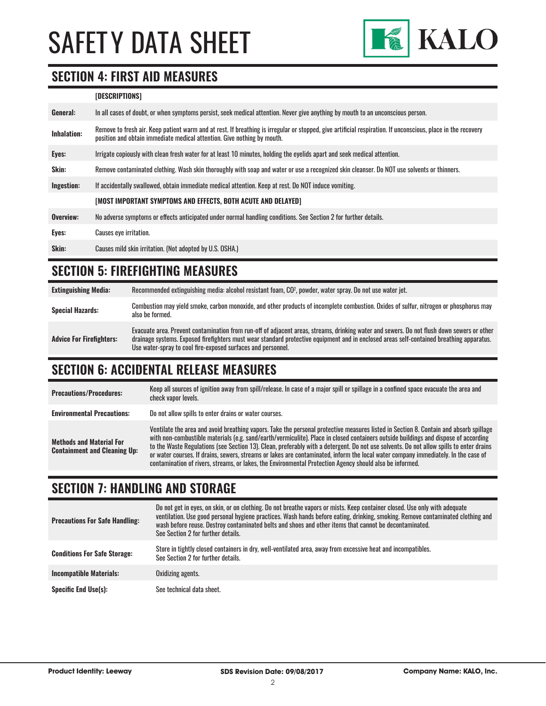

#### **SECTION 4: FIRST AID MEASURES**

#### **[DESCRIPTIONS]**

| General:    | In all cases of doubt, or when symptoms persist, seek medical attention. Never give anything by mouth to an unconscious person.                                                                                                         |
|-------------|-----------------------------------------------------------------------------------------------------------------------------------------------------------------------------------------------------------------------------------------|
| Inhalation: | Remove to fresh air. Keep patient warm and at rest. If breathing is irregular or stopped, give artificial respiration. If unconscious, place in the recovery<br>position and obtain immediate medical attention. Give nothing by mouth. |
| Eyes:       | Irrigate copiously with clean fresh water for at least 10 minutes, holding the eyelids apart and seek medical attention.                                                                                                                |
| Skin:       | Remove contaminated clothing. Wash skin thoroughly with soap and water or use a recognized skin cleanser. Do NOT use solvents or thinners.                                                                                              |
| Ingestion:  | If accidentally swallowed, obtain immediate medical attention. Keep at rest. Do NOT induce vomiting.                                                                                                                                    |
|             | [MOST IMPORTANT SYMPTOMS AND EFFECTS, BOTH ACUTE AND DELAYED]                                                                                                                                                                           |
| Overview:   | No adverse symptoms or effects anticipated under normal handling conditions. See Section 2 for further details.                                                                                                                         |
| Eyes:       | <b>Causes eye irritation.</b>                                                                                                                                                                                                           |
| Skin:       | Causes mild skin irritation. (Not adopted by U.S. OSHA.)                                                                                                                                                                                |

#### **SECTION 5: FIREFIGHTING MEASURES**

**Extinguishing Media:** Recommended extinguishing media: alcohol resistant foam, CO2 , powder, water spray. Do not use water jet. **Special Hazards:** Combustion may yield smoke, carbon monoxide, and other products of incomplete combustion. Oxides of sulfur, nitrogen or phosphorus may also be formed. **Advice For Firefighters:** Evacuate area. Prevent contamination from run-off of adjacent areas, streams, drinking water and sewers. Do not flush down sewers or other drainage systems. Exposed firefighters must wear standard protective equipment and in enclosed areas self-contained breathing apparatus. Use water-spray to cool fire-exposed surfaces and personnel.

### **SECTION 6: ACCIDENTAL RELEASE MEASURES**

| <b>Precautions/Procedures:</b>                                         | Keep all sources of ignition away from spill/release. In case of a major spill or spillage in a confined space evacuate the area and<br>check vapor levels.                                                                                                                                                                                                                                                                                                                                                                                                                                                                                                               |
|------------------------------------------------------------------------|---------------------------------------------------------------------------------------------------------------------------------------------------------------------------------------------------------------------------------------------------------------------------------------------------------------------------------------------------------------------------------------------------------------------------------------------------------------------------------------------------------------------------------------------------------------------------------------------------------------------------------------------------------------------------|
| <b>Environmental Precautions:</b>                                      | Do not allow spills to enter drains or water courses.                                                                                                                                                                                                                                                                                                                                                                                                                                                                                                                                                                                                                     |
| <b>Methods and Material For</b><br><b>Containment and Cleaning Up:</b> | Ventilate the area and avoid breathing vapors. Take the personal protective measures listed in Section 8. Contain and absorb spillage<br>with non-combustible materials (e.g. sand/earth/vermiculite). Place in closed containers outside buildings and dispose of according<br>to the Waste Regulations (see Section 13). Clean, preferably with a detergent. Do not use solvents. Do not allow spills to enter drains<br>or water courses. If drains, sewers, streams or lakes are contaminated, inform the local water company immediately. In the case of<br>contamination of rivers, streams, or lakes, the Environmental Protection Agency should also be informed. |

### **SECTION 7: HANDLING AND STORAGE**

| <b>Precautions For Safe Handling:</b> | Do not get in eyes, on skin, or on clothing. Do not breathe vapors or mists. Keep container closed. Use only with adequate<br>ventilation. Use good personal hygiene practices. Wash hands before eating, drinking, smoking. Remove contaminated clothing and<br>wash before reuse. Destroy contaminated belts and shoes and other items that cannot be decontaminated.<br>See Section 2 for further details. |
|---------------------------------------|---------------------------------------------------------------------------------------------------------------------------------------------------------------------------------------------------------------------------------------------------------------------------------------------------------------------------------------------------------------------------------------------------------------|
| <b>Conditions For Safe Storage:</b>   | Store in tightly closed containers in dry, well-ventilated area, away from excessive heat and incompatibles.<br>See Section 2 for further details.                                                                                                                                                                                                                                                            |
| <b>Incompatible Materials:</b>        | Oxidizing agents.                                                                                                                                                                                                                                                                                                                                                                                             |
| <b>Specific End Use(s):</b>           | See technical data sheet.                                                                                                                                                                                                                                                                                                                                                                                     |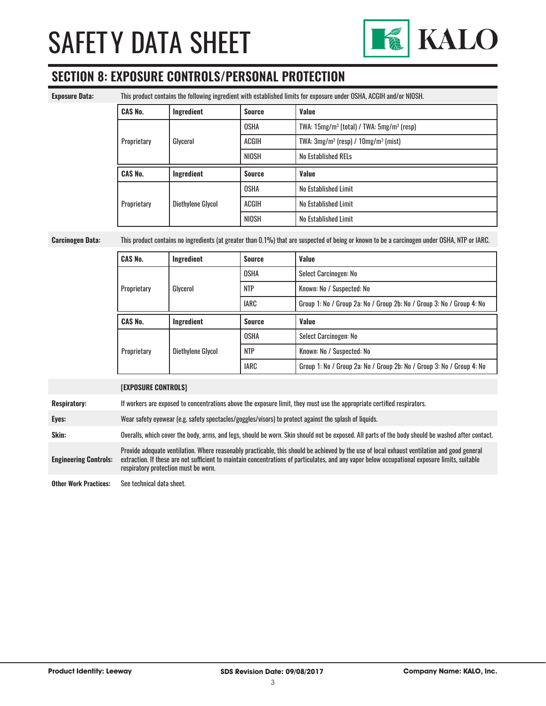

### **SECTION 8: EXPOSURE CONTROLS/PERSONAL PROTECTION**

**Exposure Data:** This product contains the following ingredient with established limits for exposure under OSHA, ACGIH and/or NIOSH.

| <b>CAS No.</b> | Ingredient               | <b>Source</b> | Value                                                             |
|----------------|--------------------------|---------------|-------------------------------------------------------------------|
|                |                          |               |                                                                   |
|                |                          | <b>OSHA</b>   | TWA: 15mg/m <sup>3</sup> (total) / TWA: 5mg/m <sup>3</sup> (resp) |
| Proprietary    | Glycerol                 | <b>ACGIH</b>  | TWA: $3mg/m^3$ (resp) / $10mg/m^3$ (mist)                         |
|                |                          | NIOSH         | No Established RELs                                               |
| <b>CAS No.</b> | Ingredient               | <b>Source</b> | Value                                                             |
|                |                          | <b>OSHA</b>   | No Established Limit                                              |
|                |                          |               |                                                                   |
| Proprietary    | <b>Diethylene Glycol</b> | <b>ACGIH</b>  | No Established Limit                                              |

**Carcinogen Data:** This product contains no ingredients (at greater than 0.1%) that are suspected of being or known to be a carcinogen under OSHA, NTP or IARC.

| <b>CAS No.</b> | Ingredient        | <b>Source</b> | Value                                                                 |
|----------------|-------------------|---------------|-----------------------------------------------------------------------|
|                |                   | <b>OSHA</b>   | Select Carcinogen: No                                                 |
| Proprietary    | Glycerol          | <b>NTP</b>    | Known: No / Suspected: No                                             |
|                |                   | <b>IARC</b>   | Group 1: No / Group 2a: No / Group 2b: No / Group 3: No / Group 4: No |
|                |                   |               |                                                                       |
| <b>CAS No.</b> | Ingredient        | <b>Source</b> | Value                                                                 |
|                |                   | <b>OSHA</b>   | Select Carcinogen: No                                                 |
| Proprietary    | Diethylene Glycol | <b>NTP</b>    | Known: No / Suspected: No                                             |

|                              | <b>[EXPOSURE CONTROLS]</b>                                                                                                                                                                                                                                                                                                             |
|------------------------------|----------------------------------------------------------------------------------------------------------------------------------------------------------------------------------------------------------------------------------------------------------------------------------------------------------------------------------------|
| <b>Respiratory:</b>          | If workers are exposed to concentrations above the exposure limit, they must use the appropriate certified respirators.                                                                                                                                                                                                                |
| Eyes:                        | Wear safety eyewear (e.g. safety spectacles/goggles/visors) to protect against the splash of liquids.                                                                                                                                                                                                                                  |
| Skin:                        | Overalls, which cover the body, arms, and legs, should be worn. Skin should not be exposed. All parts of the body should be washed after contact.                                                                                                                                                                                      |
| <b>Engineering Controls:</b> | Provide adequate ventilation. Where reasonably practicable, this should be achieved by the use of local exhaust ventilation and good general<br>extraction. If these are not sufficient to maintain concentrations of particulates, and any vapor below occupational exposure limits, suitable<br>respiratory protection must be worn. |
| <b>Other Work Practices:</b> | See technical data sheet.                                                                                                                                                                                                                                                                                                              |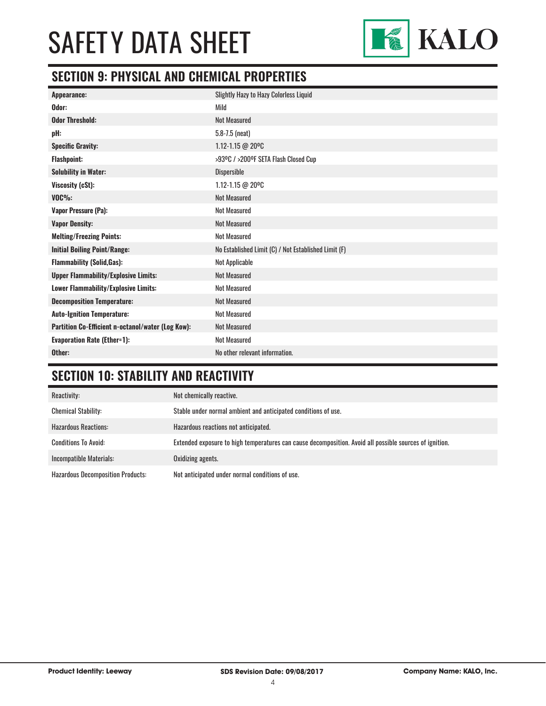

### **SECTION 9: PHYSICAL AND CHEMICAL PROPERTIES**

| <b>Slightly Hazy to Hazy Colorless Liquid</b>        |
|------------------------------------------------------|
| Mild                                                 |
| <b>Not Measured</b>                                  |
| $5.8 - 7.5$ (neat)                                   |
| 1.12-1.15 @ 20°C                                     |
| >93ºC / >200ºF SETA Flash Closed Cup                 |
| Dispersible                                          |
| 1.12-1.15 @ 20°C                                     |
| <b>Not Measured</b>                                  |
| <b>Not Measured</b>                                  |
| <b>Not Measured</b>                                  |
| <b>Not Measured</b>                                  |
| No Established Limit (C) / Not Established Limit (F) |
| Not Applicable                                       |
| <b>Not Measured</b>                                  |
| <b>Not Measured</b>                                  |
| <b>Not Measured</b>                                  |
| <b>Not Measured</b>                                  |
| <b>Not Measured</b>                                  |
| <b>Not Measured</b>                                  |
| No other relevant information.                       |
|                                                      |

## **SECTION 10: STABILITY AND REACTIVITY**

| Reactivity:                              | Not chemically reactive.                                                                                |
|------------------------------------------|---------------------------------------------------------------------------------------------------------|
| <b>Chemical Stability:</b>               | Stable under normal ambient and anticipated conditions of use.                                          |
| <b>Hazardous Reactions:</b>              | Hazardous reactions not anticipated.                                                                    |
| <b>Conditions To Avoid:</b>              | Extended exposure to high temperatures can cause decomposition. Avoid all possible sources of ignition. |
| Incompatible Materials:                  | Oxidizing agents.                                                                                       |
| <b>Hazardous Decomposition Products:</b> | Not anticipated under normal conditions of use.                                                         |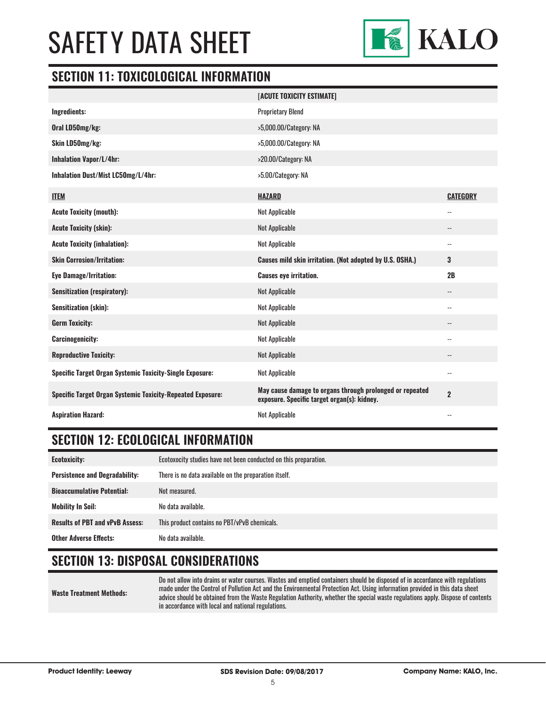

#### **SECTION 11: TOXICOLOGICAL INFORMATION**

|                                                                   | [ACUTE TOXICITY ESTIMATE]                                                                               |                          |
|-------------------------------------------------------------------|---------------------------------------------------------------------------------------------------------|--------------------------|
| Ingredients:                                                      | <b>Proprietary Blend</b>                                                                                |                          |
| Oral LD50mg/kg:                                                   | >5,000.00/Category: NA                                                                                  |                          |
| Skin LD50mg/kg:                                                   | >5,000.00/Category: NA                                                                                  |                          |
| <b>Inhalation Vapor/L/4hr:</b>                                    | >20.00/Category: NA                                                                                     |                          |
| Inhalation Dust/Mist LC50mg/L/4hr:                                | >5.00/Category: NA                                                                                      |                          |
| <b>ITEM</b>                                                       | <b>HAZARD</b>                                                                                           | <b>CATEGORY</b>          |
| <b>Acute Toxicity (mouth):</b>                                    | Not Applicable                                                                                          | $\overline{\phantom{a}}$ |
| <b>Acute Toxicity (skin):</b>                                     | <b>Not Applicable</b>                                                                                   | $\overline{\phantom{a}}$ |
| <b>Acute Toxicity (inhalation):</b>                               | <b>Not Applicable</b>                                                                                   | $\overline{\phantom{a}}$ |
| <b>Skin Corrosion/Irritation:</b>                                 | Causes mild skin irritation. (Not adopted by U.S. OSHA.)                                                | 3                        |
| <b>Eye Damage/Irritation:</b>                                     | <b>Causes eye irritation.</b>                                                                           | 2B                       |
| <b>Sensitization (respiratory):</b>                               | <b>Not Applicable</b>                                                                                   | $\overline{\phantom{a}}$ |
| <b>Sensitization (skin):</b>                                      | Not Applicable                                                                                          | $\overline{a}$           |
| <b>Germ Toxicity:</b>                                             | Not Applicable                                                                                          | $\overline{\phantom{a}}$ |
| <b>Carcinogenicity:</b>                                           | Not Applicable                                                                                          | $-$                      |
| <b>Reproductive Toxicity:</b>                                     | Not Applicable                                                                                          | $\overline{\phantom{a}}$ |
| <b>Specific Target Organ Systemic Toxicity-Single Exposure:</b>   | Not Applicable                                                                                          | $\overline{\phantom{a}}$ |
| <b>Specific Target Organ Systemic Toxicity-Repeated Exposure:</b> | May cause damage to organs through prolonged or repeated<br>exposure. Specific target organ(s): kidney. | $\overline{2}$           |
| <b>Aspiration Hazard:</b>                                         | <b>Not Applicable</b>                                                                                   | $- -$                    |

### **SECTION 12: ECOLOGICAL INFORMATION**

| <b>Ecotoxicity:</b>                    | Ecotoxocity studies have not been conducted on this preparation. |  |
|----------------------------------------|------------------------------------------------------------------|--|
| <b>Persistence and Degradability:</b>  | There is no data available on the preparation itself.            |  |
| <b>Bioaccumulative Potential:</b>      | Not measured.                                                    |  |
| <b>Mobility In Soil:</b>               | No data available.                                               |  |
| <b>Results of PBT and vPvB Assess:</b> | This product contains no PBT/vPvB chemicals.                     |  |
| <b>Other Adverse Effects:</b>          | No data available.                                               |  |

### **SECTION 13: DISPOSAL CONSIDERATIONS**

**Waste Treatment Methods:** Do not allow into drains or water courses. Wastes and emptied containers should be disposed of in accordance with regulations made under the Control of Pollution Act and the Environmental Protection Act. Using information provided in this data sheet advice should be obtained from the Waste Regulation Authority, whether the special waste regulations apply. Dispose of contents in accordance with local and national regulations.